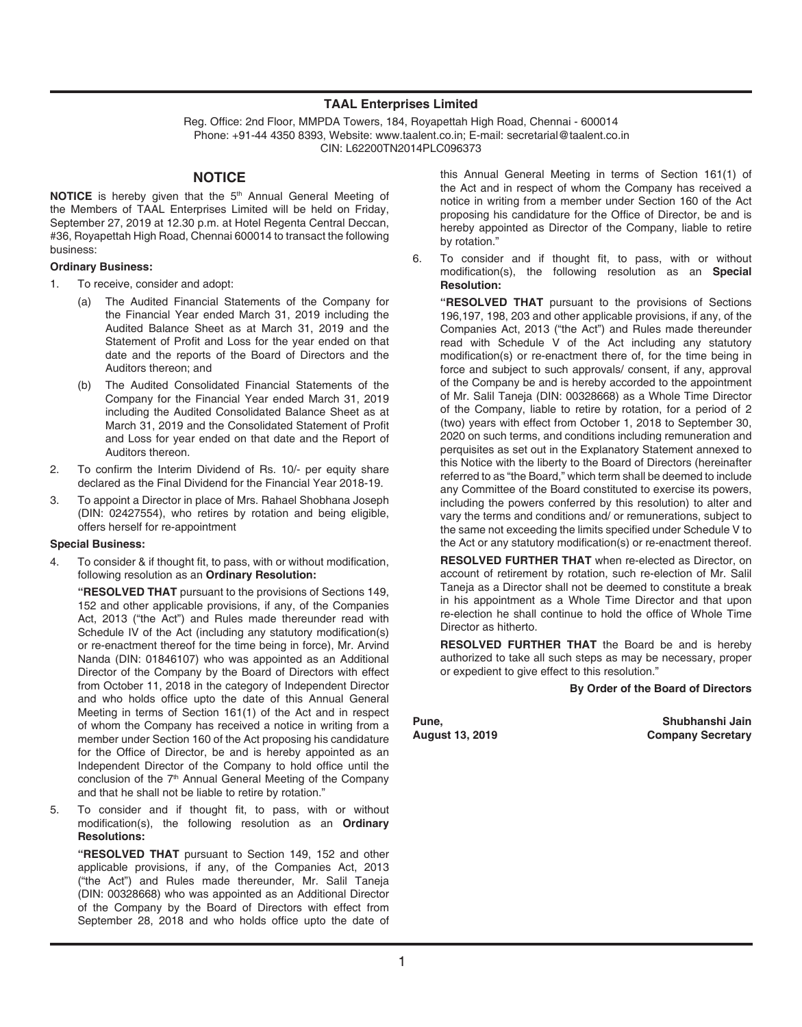#### **TAAL Enterprises Limited**

Reg. Office: 2nd Floor, MMPDA Towers, 184, Royapettah High Road, Chennai - 600014 Phone: +91-44 4350 8393, Website: www.taalent.co.in; E-mail: secretarial@taalent.co.in CIN: L62200TN2014PLC096373

## **NOTICE**

**NOTICE** is hereby given that the 5<sup>th</sup> Annual General Meeting of the Members of TAAL Enterprises Limited will be held on Friday, September 27, 2019 at 12.30 p.m. at Hotel Regenta Central Deccan, #36, Royapettah High Road, Chennai 600014 to transact the following business:

#### **Ordinary Business:**

- 1. To receive, consider and adopt:
	- (a) The Audited Financial Statements of the Company for the Financial Year ended March 31, 2019 including the Audited Balance Sheet as at March 31, 2019 and the Statement of Profit and Loss for the year ended on that date and the reports of the Board of Directors and the Auditors thereon; and
	- (b) The Audited Consolidated Financial Statements of the Company for the Financial Year ended March 31, 2019 including the Audited Consolidated Balance Sheet as at March 31, 2019 and the Consolidated Statement of Profit and Loss for year ended on that date and the Report of Auditors thereon.
- 2. To confirm the Interim Dividend of Rs. 10/- per equity share declared as the Final Dividend for the Financial Year 2018-19.
- To appoint a Director in place of Mrs. Rahael Shobhana Joseph (DIN: 02427554), who retires by rotation and being eligible, offers herself for re-appointment

#### **Special Business:**

4. To consider & if thought fit, to pass, with or without modification, following resolution as an **Ordinary Resolution:**

 **"RESOLVED THAT** pursuant to the provisions of Sections 149, 152 and other applicable provisions, if any, of the Companies Act, 2013 ("the Act") and Rules made thereunder read with Schedule IV of the Act (including any statutory modification(s) or re-enactment thereof for the time being in force), Mr. Arvind Nanda (DIN: 01846107) who was appointed as an Additional Director of the Company by the Board of Directors with effect from October 11, 2018 in the category of Independent Director and who holds office upto the date of this Annual General Meeting in terms of Section 161(1) of the Act and in respect of whom the Company has received a notice in writing from a member under Section 160 of the Act proposing his candidature for the Office of Director, be and is hereby appointed as an Independent Director of the Company to hold office until the conclusion of the 7<sup>th</sup> Annual General Meeting of the Company and that he shall not be liable to retire by rotation."

5. To consider and if thought fit, to pass, with or without modification(s), the following resolution as an **Ordinary Resolutions:**

 **"RESOLVED THAT** pursuant to Section 149, 152 and other applicable provisions, if any, of the Companies Act, 2013 ("the Act") and Rules made thereunder, Mr. Salil Taneja (DIN: 00328668) who was appointed as an Additional Director of the Company by the Board of Directors with effect from September 28, 2018 and who holds office upto the date of

this Annual General Meeting in terms of Section 161(1) of the Act and in respect of whom the Company has received a notice in writing from a member under Section 160 of the Act proposing his candidature for the Office of Director, be and is hereby appointed as Director of the Company, liable to retire by rotation."

6. To consider and if thought fit, to pass, with or without modification(s), the following resolution as an **Special Resolution:**

 **"RESOLVED THAT** pursuant to the provisions of Sections 196,197, 198, 203 and other applicable provisions, if any, of the Companies Act, 2013 ("the Act") and Rules made thereunder read with Schedule V of the Act including any statutory modification(s) or re-enactment there of, for the time being in force and subject to such approvals/ consent, if any, approval of the Company be and is hereby accorded to the appointment of Mr. Salil Taneja (DIN: 00328668) as a Whole Time Director of the Company, liable to retire by rotation, for a period of 2 (two) years with effect from October 1, 2018 to September 30, 2020 on such terms, and conditions including remuneration and perquisites as set out in the Explanatory Statement annexed to this Notice with the liberty to the Board of Directors (hereinafter referred to as "the Board," which term shall be deemed to include any Committee of the Board constituted to exercise its powers, including the powers conferred by this resolution) to alter and vary the terms and conditions and/ or remunerations, subject to the same not exceeding the limits specified under Schedule V to the Act or any statutory modification(s) or re-enactment thereof.

 **RESOLVED FURTHER THAT** when re-elected as Director, on account of retirement by rotation, such re-election of Mr. Salil Taneja as a Director shall not be deemed to constitute a break in his appointment as a Whole Time Director and that upon re-election he shall continue to hold the office of Whole Time Director as hitherto.

 **RESOLVED FURTHER THAT** the Board be and is hereby authorized to take all such steps as may be necessary, proper or expedient to give effect to this resolution."

**By Order of the Board of Directors**

**Pune, Shubhanshi Jain Company Secretary**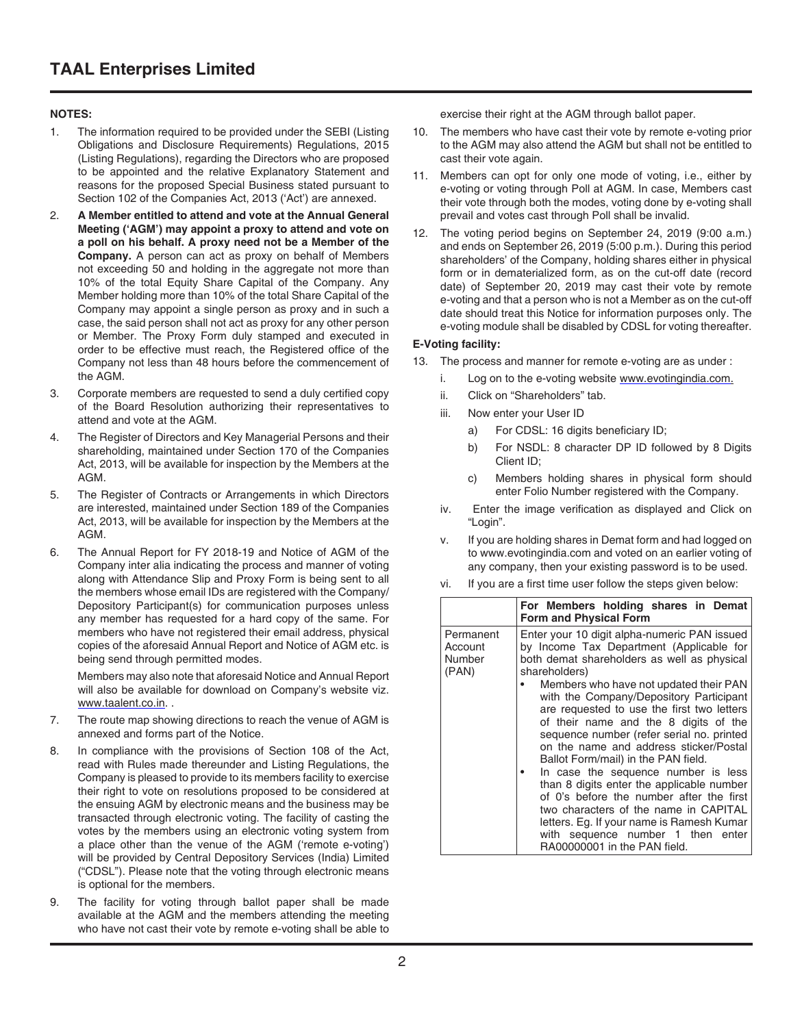## **NOTES:**

- 1. The information required to be provided under the SEBI (Listing Obligations and Disclosure Requirements) Regulations, 2015 (Listing Regulations), regarding the Directors who are proposed to be appointed and the relative Explanatory Statement and reasons for the proposed Special Business stated pursuant to Section 102 of the Companies Act, 2013 ('Act') are annexed.
- 2. **A Member entitled to attend and vote at the Annual General Meeting ('AGM') may appoint a proxy to attend and vote on a poll on his behalf. A proxy need not be a Member of the Company.** A person can act as proxy on behalf of Members not exceeding 50 and holding in the aggregate not more than 10% of the total Equity Share Capital of the Company. Any Member holding more than 10% of the total Share Capital of the Company may appoint a single person as proxy and in such a case, the said person shall not act as proxy for any other person or Member. The Proxy Form duly stamped and executed in order to be effective must reach, the Registered office of the Company not less than 48 hours before the commencement of the AGM.
- 3. Corporate members are requested to send a duly certified copy of the Board Resolution authorizing their representatives to attend and vote at the AGM.
- 4. The Register of Directors and Key Managerial Persons and their shareholding, maintained under Section 170 of the Companies Act, 2013, will be available for inspection by the Members at the AGM.
- 5. The Register of Contracts or Arrangements in which Directors are interested, maintained under Section 189 of the Companies Act, 2013, will be available for inspection by the Members at the AGM.
- 6. The Annual Report for FY 2018-19 and Notice of AGM of the Company inter alia indicating the process and manner of voting along with Attendance Slip and Proxy Form is being sent to all the members whose email IDs are registered with the Company/ Depository Participant(s) for communication purposes unless any member has requested for a hard copy of the same. For members who have not registered their email address, physical copies of the aforesaid Annual Report and Notice of AGM etc. is being send through permitted modes.

Members may also note that aforesaid Notice and Annual Report will also be available for download on Company's website viz. www.taalent.co.in. .

- 7. The route map showing directions to reach the venue of AGM is annexed and forms part of the Notice.
- 8. In compliance with the provisions of Section 108 of the Act, read with Rules made thereunder and Listing Regulations, the Company is pleased to provide to its members facility to exercise their right to vote on resolutions proposed to be considered at the ensuing AGM by electronic means and the business may be transacted through electronic voting. The facility of casting the votes by the members using an electronic voting system from a place other than the venue of the AGM ('remote e-voting') will be provided by Central Depository Services (India) Limited ("CDSL"). Please note that the voting through electronic means is optional for the members.
- 9. The facility for voting through ballot paper shall be made available at the AGM and the members attending the meeting who have not cast their vote by remote e-voting shall be able to

exercise their right at the AGM through ballot paper.

- 10. The members who have cast their vote by remote e-voting prior to the AGM may also attend the AGM but shall not be entitled to cast their vote again.
- 11. Members can opt for only one mode of voting, i.e., either by e-voting or voting through Poll at AGM. In case, Members cast their vote through both the modes, voting done by e-voting shall prevail and votes cast through Poll shall be invalid.
- 12. The voting period begins on September 24, 2019 (9:00 a.m.) and ends on September 26, 2019 (5:00 p.m.). During this period shareholders' of the Company, holding shares either in physical form or in dematerialized form, as on the cut-off date (record date) of September 20, 2019 may cast their vote by remote e-voting and that a person who is not a Member as on the cut-off date should treat this Notice for information purposes only. The e-voting module shall be disabled by CDSL for voting thereafter.

# **E-Voting facility:**

- 13. The process and manner for remote e-voting are as under :
	- i. Log on to the e-voting website www.evotingindia.com.
	- ii. Click on "Shareholders" tab.
	- iii. Now enter your User ID
		- a) For CDSL: 16 digits beneficiary ID;
		- b) For NSDL: 8 character DP ID followed by 8 Digits Client ID;
		- c) Members holding shares in physical form should enter Folio Number registered with the Company.
	- iv. Enter the image verification as displayed and Click on "Login".
	- v. If you are holding shares in Demat form and had logged on to www.evotingindia.com and voted on an earlier voting of any company, then your existing password is to be used.
	- vi. If you are a first time user follow the steps given below:

|                                         | For Members holding shares in Demat<br><b>Form and Physical Form</b>                                                                                                                                                                                                                                                                                                                                                                                                                                                                                                                                                                                                                                                                                          |
|-----------------------------------------|---------------------------------------------------------------------------------------------------------------------------------------------------------------------------------------------------------------------------------------------------------------------------------------------------------------------------------------------------------------------------------------------------------------------------------------------------------------------------------------------------------------------------------------------------------------------------------------------------------------------------------------------------------------------------------------------------------------------------------------------------------------|
| Permanent<br>Account<br>Number<br>(PAN) | Enter your 10 digit alpha-numeric PAN issued<br>by Income Tax Department (Applicable for<br>both demat shareholders as well as physical<br>shareholders)<br>Members who have not updated their PAN<br>with the Company/Depository Participant<br>are requested to use the first two letters<br>of their name and the 8 digits of the<br>sequence number (refer serial no. printed<br>on the name and address sticker/Postal<br>Ballot Form/mail) in the PAN field.<br>In case the sequence number is less<br>than 8 digits enter the applicable number<br>of 0's before the number after the first<br>two characters of the name in CAPITAL<br>letters. Eq. If your name is Ramesh Kumar<br>with sequence number 1 then enter<br>RA00000001 in the PAN field. |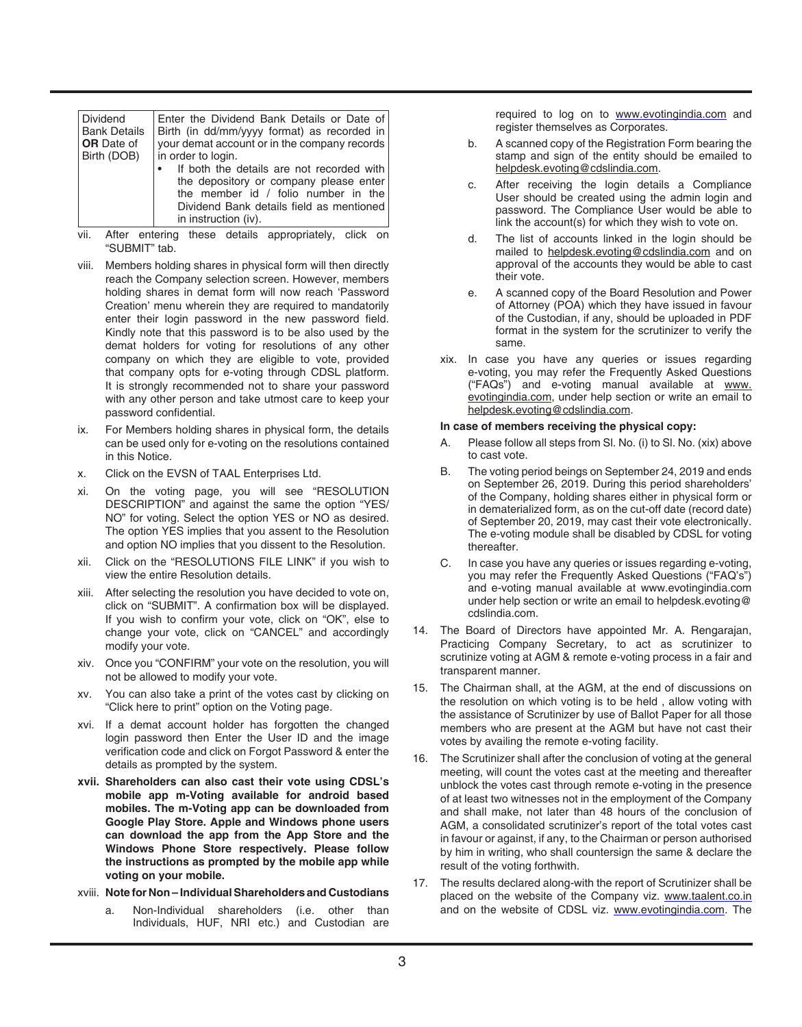| Dividend            | Enter the Dividend Bank Details or Date of                                                                                                                                                     |
|---------------------|------------------------------------------------------------------------------------------------------------------------------------------------------------------------------------------------|
| <b>Bank Details</b> | Birth (in dd/mm/yyyy format) as recorded in                                                                                                                                                    |
| <b>OR</b> Date of   | vour demat account or in the company records                                                                                                                                                   |
| Birth (DOB)         | in order to login.                                                                                                                                                                             |
|                     | If both the details are not recorded with<br>the depository or company please enter<br>the member id / folio number in the<br>Dividend Bank details field as mentioned<br>in instruction (iv). |

- vii. After entering these details appropriately, click on "SUBMIT" tab.
- viii. Members holding shares in physical form will then directly reach the Company selection screen. However, members holding shares in demat form will now reach 'Password Creation' menu wherein they are required to mandatorily enter their login password in the new password field. Kindly note that this password is to be also used by the demat holders for voting for resolutions of any other company on which they are eligible to vote, provided that company opts for e-voting through CDSL platform. It is strongly recommended not to share your password with any other person and take utmost care to keep your password confidential.
- ix. For Members holding shares in physical form, the details can be used only for e-voting on the resolutions contained in this Notice.
- x. Click on the EVSN of TAAL Enterprises Ltd.
- xi. On the voting page, you will see "RESOLUTION DESCRIPTION" and against the same the option "YES/ NO" for voting. Select the option YES or NO as desired. The option YES implies that you assent to the Resolution and option NO implies that you dissent to the Resolution.
- xii. Click on the "RESOLUTIONS FILE LINK" if you wish to view the entire Resolution details.
- xiii. After selecting the resolution you have decided to vote on, click on "SUBMIT". A confirmation box will be displayed. If you wish to confirm your vote, click on "OK", else to change your vote, click on "CANCEL" and accordingly modify your vote.
- xiv. Once you "CONFIRM" your vote on the resolution, you will not be allowed to modify your vote.
- xv. You can also take a print of the votes cast by clicking on "Click here to print" option on the Voting page.
- xvi. If a demat account holder has forgotten the changed login password then Enter the User ID and the image verification code and click on Forgot Password & enter the details as prompted by the system.
- **xvii. Shareholders can also cast their vote using CDSL's mobile app m-Voting available for android based mobiles. The m-Voting app can be downloaded from Google Play Store. Apple and Windows phone users can download the app from the App Store and the Windows Phone Store respectively. Please follow the instructions as prompted by the mobile app while voting on your mobile.**
- xviii. **Note for Non Individual Shareholders and Custodians**
	- a. Non-Individual shareholders (i.e. other than Individuals, HUF, NRI etc.) and Custodian are

required to log on to www.evotingindia.com and register themselves as Corporates.

- b. A scanned copy of the Registration Form bearing the stamp and sign of the entity should be emailed to helpdesk.evoting@cdslindia.com.
- c. After receiving the login details a Compliance User should be created using the admin login and password. The Compliance User would be able to link the account(s) for which they wish to vote on.
- d. The list of accounts linked in the login should be mailed to helpdesk.evoting@cdslindia.com and on approval of the accounts they would be able to cast their vote.
- e. A scanned copy of the Board Resolution and Power of Attorney (POA) which they have issued in favour of the Custodian, if any, should be uploaded in PDF format in the system for the scrutinizer to verify the same.
- xix. In case you have any queries or issues regarding e-voting, you may refer the Frequently Asked Questions ("FAQs") and e-voting manual available at www. evotingindia.com, under help section or write an email to helpdesk.evoting@cdslindia.com.

#### **In case of members receiving the physical copy:**

- A. Please follow all steps from Sl. No. (i) to Sl. No. (xix) above to cast vote.
- B. The voting period beings on September 24, 2019 and ends on September 26, 2019. During this period shareholders' of the Company, holding shares either in physical form or in dematerialized form, as on the cut-off date (record date) of September 20, 2019, may cast their vote electronically. The e-voting module shall be disabled by CDSL for voting thereafter.
- C. In case you have any queries or issues regarding e-voting, you may refer the Frequently Asked Questions ("FAQ's") and e-voting manual available at www.evotingindia.com under help section or write an email to helpdesk.evoting@ cdslindia.com.
- 14. The Board of Directors have appointed Mr. A. Rengarajan, Practicing Company Secretary, to act as scrutinizer to scrutinize voting at AGM & remote e-voting process in a fair and transparent manner.
- 15. The Chairman shall, at the AGM, at the end of discussions on the resolution on which voting is to be held , allow voting with the assistance of Scrutinizer by use of Ballot Paper for all those members who are present at the AGM but have not cast their votes by availing the remote e-voting facility.
- 16. The Scrutinizer shall after the conclusion of voting at the general meeting, will count the votes cast at the meeting and thereafter unblock the votes cast through remote e-voting in the presence of at least two witnesses not in the employment of the Company and shall make, not later than 48 hours of the conclusion of AGM, a consolidated scrutinizer's report of the total votes cast in favour or against, if any, to the Chairman or person authorised by him in writing, who shall countersign the same & declare the result of the voting forthwith.
- 17. The results declared along-with the report of Scrutinizer shall be placed on the website of the Company viz. www.taalent.co.in and on the website of CDSL viz. www.evotingindia.com. The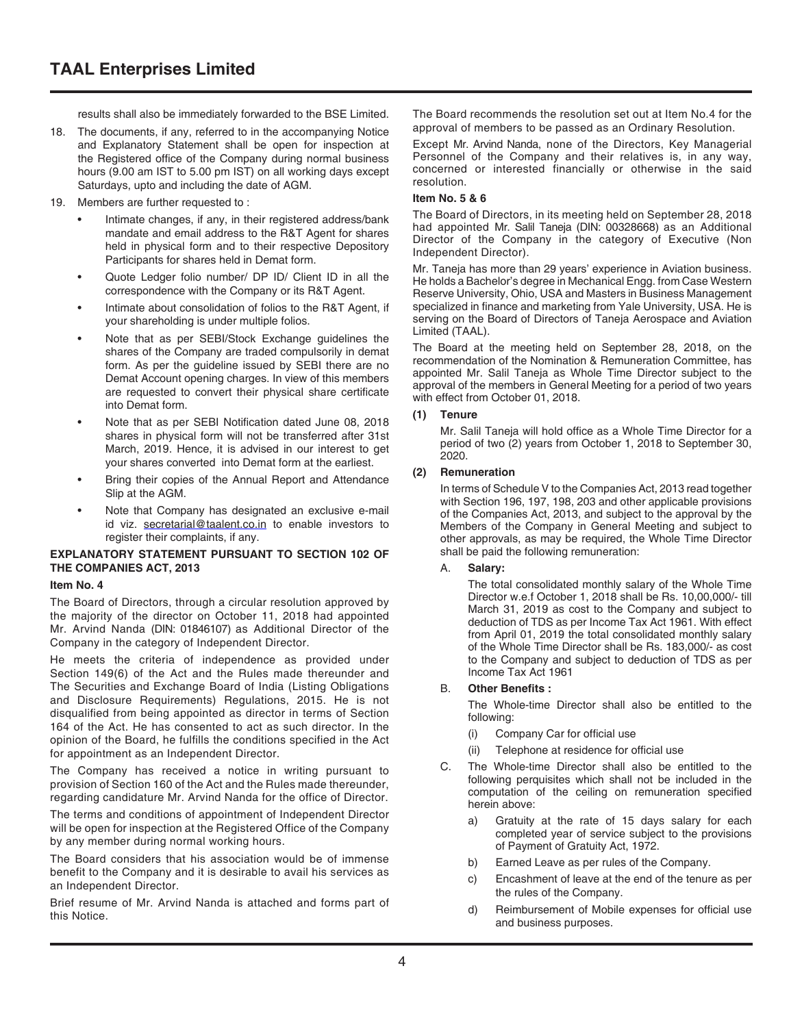results shall also be immediately forwarded to the BSE Limited.

- 18. The documents, if any, referred to in the accompanying Notice and Explanatory Statement shall be open for inspection at the Registered office of the Company during normal business hours (9.00 am IST to 5.00 pm IST) on all working days except Saturdays, upto and including the date of AGM.
- 19. Members are further requested to :
	- Intimate changes, if any, in their registered address/bank mandate and email address to the R&T Agent for shares held in physical form and to their respective Depository Participants for shares held in Demat form.
	- Quote Ledger folio number/ DP ID/ Client ID in all the correspondence with the Company or its R&T Agent.
	- Intimate about consolidation of folios to the R&T Agent, if your shareholding is under multiple folios.
	- Note that as per SEBI/Stock Exchange guidelines the shares of the Company are traded compulsorily in demat form. As per the guideline issued by SEBI there are no Demat Account opening charges. In view of this members are requested to convert their physical share certificate into Demat form.
	- Note that as per SEBI Notification dated June 08, 2018 shares in physical form will not be transferred after 31st March, 2019. Hence, it is advised in our interest to get your shares converted into Demat form at the earliest.
	- Bring their copies of the Annual Report and Attendance Slip at the AGM.
	- Note that Company has designated an exclusive e-mail id viz. secretarial@taalent.co.in to enable investors to register their complaints, if any.

#### **EXPLANATORY STATEMENT PURSUANT TO SECTION 102 OF THE COMPANIES ACT, 2013**

#### **Item No. 4**

The Board of Directors, through a circular resolution approved by the majority of the director on October 11, 2018 had appointed Mr. Arvind Nanda (DIN: 01846107) as Additional Director of the Company in the category of Independent Director.

He meets the criteria of independence as provided under Section 149(6) of the Act and the Rules made thereunder and The Securities and Exchange Board of India (Listing Obligations and Disclosure Requirements) Regulations, 2015. He is not disqualified from being appointed as director in terms of Section 164 of the Act. He has consented to act as such director. In the opinion of the Board, he fulfills the conditions specified in the Act for appointment as an Independent Director.

The Company has received a notice in writing pursuant to provision of Section 160 of the Act and the Rules made thereunder, regarding candidature Mr. Arvind Nanda for the office of Director.

The terms and conditions of appointment of Independent Director will be open for inspection at the Registered Office of the Company by any member during normal working hours.

The Board considers that his association would be of immense benefit to the Company and it is desirable to avail his services as an Independent Director.

Brief resume of Mr. Arvind Nanda is attached and forms part of this Notice.

The Board recommends the resolution set out at Item No.4 for the approval of members to be passed as an Ordinary Resolution.

Except Mr. Arvind Nanda, none of the Directors, Key Managerial Personnel of the Company and their relatives is, in any way, concerned or interested financially or otherwise in the said resolution.

#### **Item No. 5 & 6**

The Board of Directors, in its meeting held on September 28, 2018 had appointed Mr. Salil Taneja (DIN: 00328668) as an Additional Director of the Company in the category of Executive (Non Independent Director).

Mr. Taneja has more than 29 years' experience in Aviation business. He holds a Bachelor's degree in Mechanical Engg. from Case Western Reserve University, Ohio, USA and Masters in Business Management specialized in finance and marketing from Yale University, USA. He is serving on the Board of Directors of Taneja Aerospace and Aviation Limited (TAAL).

The Board at the meeting held on September 28, 2018, on the recommendation of the Nomination & Remuneration Committee, has appointed Mr. Salil Taneja as Whole Time Director subject to the approval of the members in General Meeting for a period of two years with effect from October 01, 2018.

#### **(1) Tenure**

Mr. Salil Taneja will hold office as a Whole Time Director for a period of two (2) years from October 1, 2018 to September 30, 2020.

#### **(2) Remuneration**

In terms of Schedule V to the Companies Act, 2013 read together with Section 196, 197, 198, 203 and other applicable provisions of the Companies Act, 2013, and subject to the approval by the Members of the Company in General Meeting and subject to other approvals, as may be required, the Whole Time Director shall be paid the following remuneration:

#### A. **Salary:**

The total consolidated monthly salary of the Whole Time Director w.e.f October 1, 2018 shall be Rs. 10,00,000/- till March 31, 2019 as cost to the Company and subject to deduction of TDS as per Income Tax Act 1961. With effect from April 01, 2019 the total consolidated monthly salary of the Whole Time Director shall be Rs. 183,000/- as cost to the Company and subject to deduction of TDS as per Income Tax Act 1961

#### B. **Other Benefits :**

The Whole-time Director shall also be entitled to the following:

- (i) Company Car for official use
- (ii) Telephone at residence for official use
- C. The Whole-time Director shall also be entitled to the following perquisites which shall not be included in the computation of the ceiling on remuneration specified herein above:
	- a) Gratuity at the rate of 15 days salary for each completed year of service subject to the provisions of Payment of Gratuity Act, 1972.
	- b) Earned Leave as per rules of the Company.
	- c) Encashment of leave at the end of the tenure as per the rules of the Company.
	- d) Reimbursement of Mobile expenses for official use and business purposes.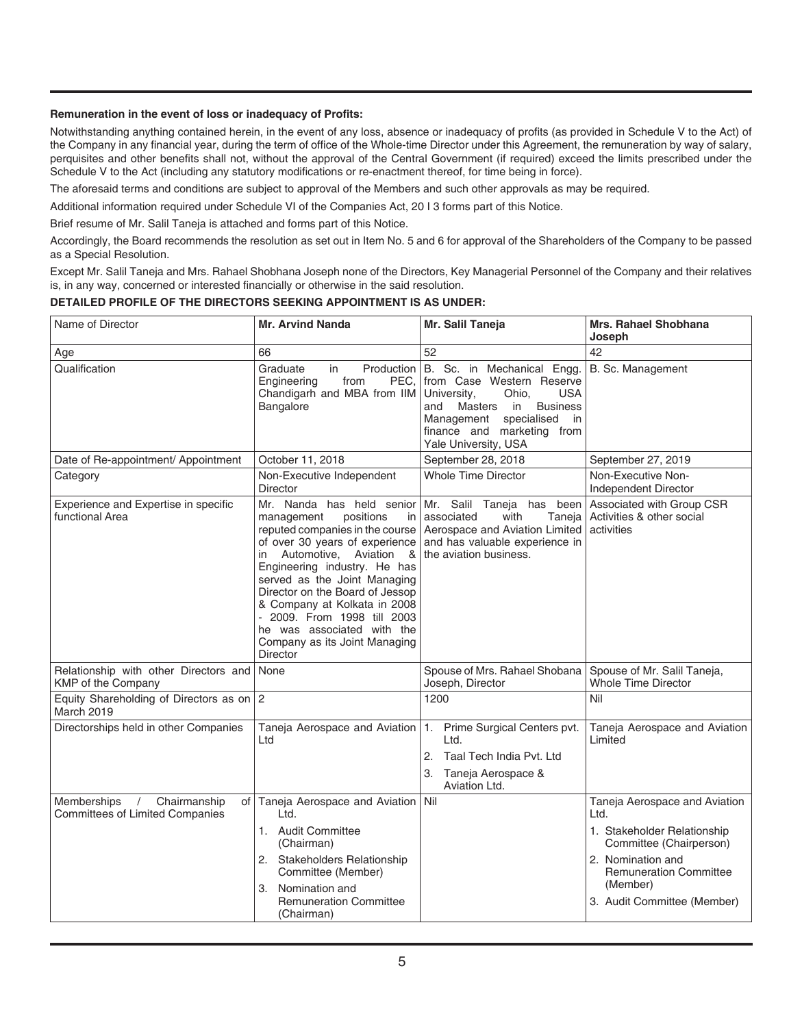#### **Remuneration in the event of loss or inadequacy of Profits:**

Notwithstanding anything contained herein, in the event of any loss, absence or inadequacy of profits (as provided in Schedule V to the Act) of the Company in any financial year, during the term of office of the Whole-time Director under this Agreement, the remuneration by way of salary, perquisites and other benefits shall not, without the approval of the Central Government (if required) exceed the limits prescribed under the Schedule V to the Act (including any statutory modifications or re-enactment thereof, for time being in force).

The aforesaid terms and conditions are subject to approval of the Members and such other approvals as may be required.

Additional information required under Schedule VI of the Companies Act, 20 I 3 forms part of this Notice.

Brief resume of Mr. Salil Taneja is attached and forms part of this Notice.

Accordingly, the Board recommends the resolution as set out in Item No. 5 and 6 for approval of the Shareholders of the Company to be passed as a Special Resolution.

Except Mr. Salil Taneja and Mrs. Rahael Shobhana Joseph none of the Directors, Key Managerial Personnel of the Company and their relatives is, in any way, concerned or interested financially or otherwise in the said resolution.

#### **DETAILED PROFILE OF THE DIRECTORS SEEKING APPOINTMENT IS AS UNDER:**

| Name of Director                                                                    | <b>Mr. Arvind Nanda</b>                                                                                                                                                                                                                                                                                                                                                                                             | Mr. Salil Taneja                                                                                                                                                                                                               | <b>Mrs. Rahael Shobhana</b><br>Joseph                                                                                                                                                            |
|-------------------------------------------------------------------------------------|---------------------------------------------------------------------------------------------------------------------------------------------------------------------------------------------------------------------------------------------------------------------------------------------------------------------------------------------------------------------------------------------------------------------|--------------------------------------------------------------------------------------------------------------------------------------------------------------------------------------------------------------------------------|--------------------------------------------------------------------------------------------------------------------------------------------------------------------------------------------------|
| Age                                                                                 | 66                                                                                                                                                                                                                                                                                                                                                                                                                  | 52                                                                                                                                                                                                                             | 42                                                                                                                                                                                               |
| Qualification                                                                       | Graduate<br>Production<br>in<br>Engineering<br>from<br>PEC.<br>Chandigarh and MBA from IIM<br>Bangalore                                                                                                                                                                                                                                                                                                             | B. Sc. in Mechanical Engg.<br>from Case Western Reserve<br>University,<br>Ohio.<br><b>USA</b><br><b>Business</b><br>and Masters<br>in<br>specialised<br>Management<br>in<br>finance and marketing from<br>Yale University, USA | B. Sc. Management                                                                                                                                                                                |
| Date of Re-appointment/ Appointment                                                 | October 11, 2018                                                                                                                                                                                                                                                                                                                                                                                                    | September 28, 2018                                                                                                                                                                                                             | September 27, 2019                                                                                                                                                                               |
| Category                                                                            | Non-Executive Independent<br><b>Director</b>                                                                                                                                                                                                                                                                                                                                                                        | <b>Whole Time Director</b>                                                                                                                                                                                                     | Non-Executive Non-<br>Independent Director                                                                                                                                                       |
| Experience and Expertise in specific<br>functional Area                             | Mr. Nanda has held senior<br>management<br>positions<br>in<br>reputed companies in the course<br>of over 30 years of experience<br>Automotive, Aviation &<br>in<br>Engineering industry. He has<br>served as the Joint Managing<br>Director on the Board of Jessop<br>& Company at Kolkata in 2008<br>- 2009. From 1998 till 2003<br>he was associated with the<br>Company as its Joint Managing<br><b>Director</b> | Mr. Salil Taneja has been<br>with<br>associated<br>Taneja  <br>Aerospace and Aviation Limited<br>and has valuable experience in<br>the aviation business.                                                                      | Associated with Group CSR<br>Activities & other social<br>activities                                                                                                                             |
| Relationship with other Directors and<br><b>KMP</b> of the Company                  | None                                                                                                                                                                                                                                                                                                                                                                                                                | Spouse of Mrs. Rahael Shobana<br>Joseph, Director                                                                                                                                                                              | Spouse of Mr. Salil Taneja,<br><b>Whole Time Director</b>                                                                                                                                        |
| Equity Shareholding of Directors as on 2<br>March 2019                              |                                                                                                                                                                                                                                                                                                                                                                                                                     | 1200                                                                                                                                                                                                                           | Nil                                                                                                                                                                                              |
| Directorships held in other Companies                                               | Taneja Aerospace and Aviation<br>Ltd                                                                                                                                                                                                                                                                                                                                                                                | 1.<br>Prime Surgical Centers pvt.<br>Ltd.<br>2.<br>Taal Tech India Pvt. Ltd<br>3. Taneja Aerospace &<br>Aviation Ltd.                                                                                                          | Taneja Aerospace and Aviation<br>Limited                                                                                                                                                         |
| Memberships<br>Chairmanship<br>$\sqrt{2}$<br><b>Committees of Limited Companies</b> | of Taneja Aerospace and Aviation   Nil<br>Int<br>1. Audit Committee<br>(Chairman)<br>2. Stakeholders Relationship<br>Committee (Member)<br>Nomination and<br>3.<br><b>Remuneration Committee</b><br>(Chairman)                                                                                                                                                                                                      |                                                                                                                                                                                                                                | Taneja Aerospace and Aviation<br>Ltd.<br>1. Stakeholder Relationship<br>Committee (Chairperson)<br>2. Nomination and<br><b>Remuneration Committee</b><br>(Member)<br>3. Audit Committee (Member) |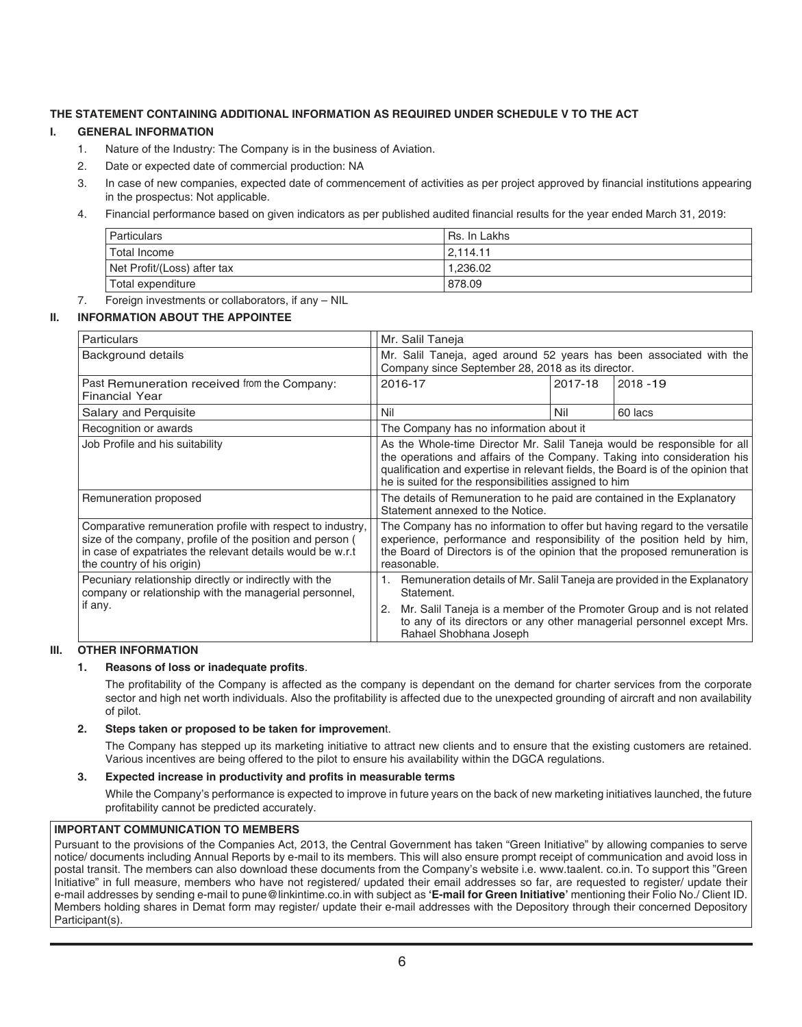## **THE STATEMENT CONTAINING ADDITIONAL INFORMATION AS REQUIRED UNDER SCHEDULE V TO THE ACT**

#### **I. GENERAL INFORMATION**

- 1. Nature of the Industry: The Company is in the business of Aviation.
- 2. Date or expected date of commercial production: NA
- 3. In case of new companies, expected date of commencement of activities as per project approved by financial institutions appearing in the prospectus: Not applicable.
- 4. Financial performance based on given indicators as per published audited financial results for the year ended March 31, 2019:

| <b>Particulars</b>          | Rs. In Lakhs |
|-----------------------------|--------------|
| Total Income                | 2.114.11     |
| Net Profit/(Loss) after tax | 1.236.02     |
| Total expenditure           | 878.09       |

# 7. Foreign investments or collaborators, if any – NIL

# **II. INFORMATION ABOUT THE APPOINTEE**

| <b>Particulars</b>                                                                                                                                                                                                  | Mr. Salil Taneja                                                                                                                                                                                                                                                                                                                                                                                                 |         |             |
|---------------------------------------------------------------------------------------------------------------------------------------------------------------------------------------------------------------------|------------------------------------------------------------------------------------------------------------------------------------------------------------------------------------------------------------------------------------------------------------------------------------------------------------------------------------------------------------------------------------------------------------------|---------|-------------|
| Background details                                                                                                                                                                                                  | Mr. Salil Taneja, aged around 52 years has been associated with the<br>Company since September 28, 2018 as its director.                                                                                                                                                                                                                                                                                         |         |             |
| Past Remuneration received from the Company:<br><b>Financial Year</b>                                                                                                                                               | 2016-17                                                                                                                                                                                                                                                                                                                                                                                                          | 2017-18 | $2018 - 19$ |
| Salary and Perquisite                                                                                                                                                                                               | Nil                                                                                                                                                                                                                                                                                                                                                                                                              | Nil     | 60 lacs     |
| Recognition or awards                                                                                                                                                                                               | The Company has no information about it                                                                                                                                                                                                                                                                                                                                                                          |         |             |
| Job Profile and his suitability                                                                                                                                                                                     | As the Whole-time Director Mr. Salil Taneja would be responsible for all<br>the operations and affairs of the Company. Taking into consideration his<br>qualification and expertise in relevant fields, the Board is of the opinion that<br>he is suited for the responsibilities assigned to him<br>The details of Remuneration to he paid are contained in the Explanatory<br>Statement annexed to the Notice. |         |             |
| Remuneration proposed                                                                                                                                                                                               |                                                                                                                                                                                                                                                                                                                                                                                                                  |         |             |
| Comparative remuneration profile with respect to industry,<br>size of the company, profile of the position and person (<br>in case of expatriates the relevant details would be w.r.t<br>the country of his origin) | The Company has no information to offer but having regard to the versatile<br>experience, performance and responsibility of the position held by him,<br>the Board of Directors is of the opinion that the proposed remuneration is<br>reasonable.                                                                                                                                                               |         |             |
| Pecuniary relationship directly or indirectly with the<br>company or relationship with the managerial personnel,                                                                                                    | Remuneration details of Mr. Salil Taneja are provided in the Explanatory<br>Statement.                                                                                                                                                                                                                                                                                                                           |         |             |
| if any.                                                                                                                                                                                                             | Mr. Salil Taneja is a member of the Promoter Group and is not related<br>2.<br>to any of its directors or any other managerial personnel except Mrs.<br>Rahael Shobhana Joseph                                                                                                                                                                                                                                   |         |             |

#### **III. OTHER INFORMATION**

#### **1. Reasons of loss or inadequate profits**.

The profitability of the Company is affected as the company is dependant on the demand for charter services from the corporate sector and high net worth individuals. Also the profitability is affected due to the unexpected grounding of aircraft and non availability of pilot.

#### **2. Steps taken or proposed to be taken for improvemen**t.

The Company has stepped up its marketing initiative to attract new clients and to ensure that the existing customers are retained. Various incentives are being offered to the pilot to ensure his availability within the DGCA regulations.

#### **3. Expected increase in productivity and profits in measurable terms**

While the Company's performance is expected to improve in future years on the back of new marketing initiatives launched, the future profitability cannot be predicted accurately.

#### **IMPORTANT COMMUNICATION TO MEMBERS**

Pursuant to the provisions of the Companies Act, 2013, the Central Government has taken "Green Initiative" by allowing companies to serve notice/ documents including Annual Reports by e-mail to its members. This will also ensure prompt receipt of communication and avoid loss in postal transit. The members can also download these documents from the Company's website i.e. www.taalent. co.in. To support this "Green Initiative" in full measure, members who have not registered/ updated their email addresses so far, are requested to register/ update their e-mail addresses by sending e-mail to pune@linkintime.co.in with subject as **'E-mail for Green Initiative'** mentioning their Folio No./ Client ID. Members holding shares in Demat form may register/ update their e-mail addresses with the Depository through their concerned Depository Participant(s).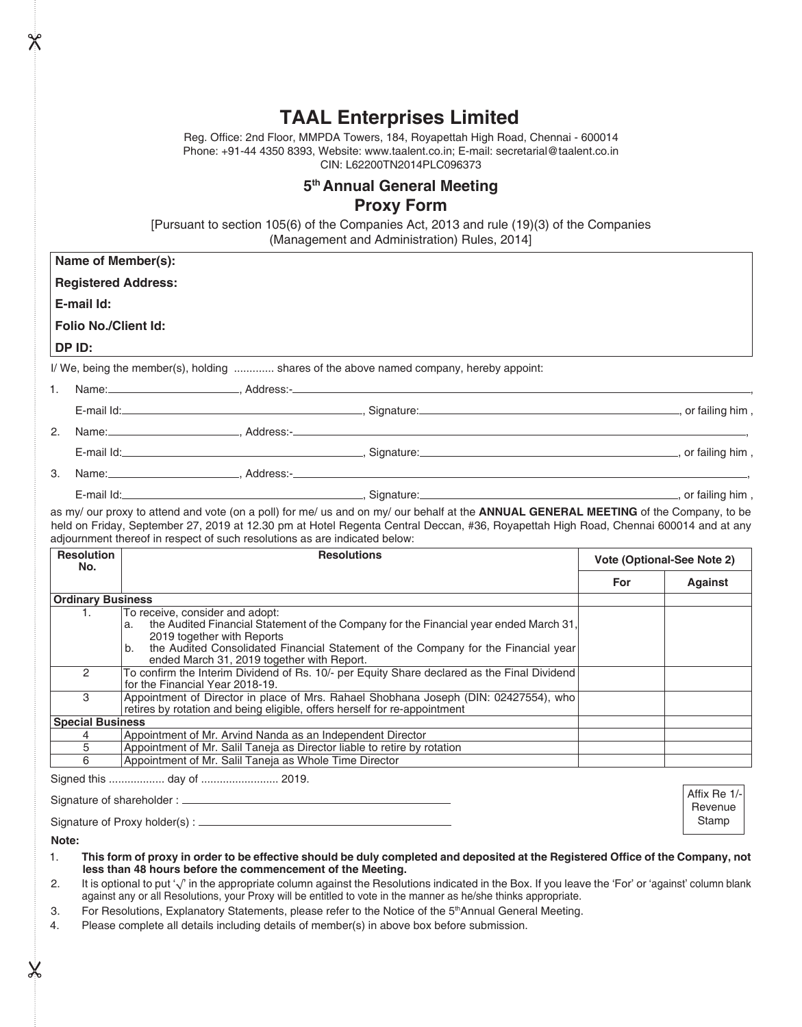# **TAAL Enterprises Limited**

Reg. Office: 2nd Floor, MMPDA Towers, 184, Royapettah High Road, Chennai - 600014 Phone: +91-44 4350 8393, Website: www.taalent.co.in; E-mail: secretarial@taalent.co.in CIN: L62200TN2014PLC096373

# **5th Annual General Meeting Proxy Form**

[Pursuant to section 105(6) of the Companies Act, 2013 and rule (19)(3) of the Companies (Management and Administration) Rules, 2014]

**Name of Member(s):**

**Registered Address:**

**E-mail Id:**

**Folio No./Client Id:**

**DP ID:**

I/ We, being the member(s), holding ............. shares of the above named company, hereby appoint:

| Name:                                                                                                                                                                                                | Address:-  |                    |
|------------------------------------------------------------------------------------------------------------------------------------------------------------------------------------------------------|------------|--------------------|
|                                                                                                                                                                                                      |            | , or failing him , |
| Name:                                                                                                                                                                                                |            |                    |
| E-mail ld: <b>E-mail ld: E-mail ld: E-mail ld: E-mail ld: E-mail ld: E-mail ld: E-mail ld: E-mail ld: E-mail ld: E-mail ld: E-mail ld: E-mail ld: E-mail ld: E-mail ld: E-mail ld: E-mail ld: E-</b> |            | , or failing him,  |
| Name:<br>the control of the control of the control of the control of                                                                                                                                 | Address:-_ |                    |

E-mail Id: , Signature: , or failing him ,

as my/ our proxy to attend and vote (on a poll) for me/ us and on my/ our behalf at the **ANNUAL GENERAL MEETING** of the Company, to be held on Friday, September 27, 2019 at 12.30 pm at Hotel Regenta Central Deccan, #36, Royapettah High Road, Chennai 600014 and at any adjournment thereof in respect of such resolutions as are indicated below:

| <b>Resolution</b><br>No. | <b>Resolutions</b>                                                                                                                                                                                                                                                                                     | Vote (Optional-See Note 2) |         |  |
|--------------------------|--------------------------------------------------------------------------------------------------------------------------------------------------------------------------------------------------------------------------------------------------------------------------------------------------------|----------------------------|---------|--|
|                          |                                                                                                                                                                                                                                                                                                        | For                        | Against |  |
| <b>Ordinary Business</b> |                                                                                                                                                                                                                                                                                                        |                            |         |  |
| 1.                       | To receive, consider and adopt:<br>the Audited Financial Statement of the Company for the Financial year ended March 31,<br>a.<br>2019 together with Reports<br>the Audited Consolidated Financial Statement of the Company for the Financial year<br>b.<br>ended March 31, 2019 together with Report. |                            |         |  |
| 2                        | To confirm the Interim Dividend of Rs. 10/- per Equity Share declared as the Final Dividend<br>for the Financial Year 2018-19.                                                                                                                                                                         |                            |         |  |
| 3                        | Appointment of Director in place of Mrs. Rahael Shobhana Joseph (DIN: 02427554), who<br>retires by rotation and being eligible, offers herself for re-appointment                                                                                                                                      |                            |         |  |
| <b>Special Business</b>  |                                                                                                                                                                                                                                                                                                        |                            |         |  |
|                          | Appointment of Mr. Arvind Nanda as an Independent Director                                                                                                                                                                                                                                             |                            |         |  |
| 5                        | Appointment of Mr. Salil Taneja as Director liable to retire by rotation                                                                                                                                                                                                                               |                            |         |  |
| 6                        | Appointment of Mr. Salil Taneja as Whole Time Director                                                                                                                                                                                                                                                 |                            |         |  |

Signed this .................. day of ......................... 2019.

Signature of shareholder :

Signature of Proxy holder(s) :

**Note:**

1. **This form of proxy in order to be effective should be duly completed and deposited at the Registered Office of the Company, not less than 48 hours before the commencement of the Meeting.**

Affix Re 1/- Revenue Stamp

2. It is optional to put '√' in the appropriate column against the Resolutions indicated in the Box. If you leave the 'For' or 'against' column blank against any or all Resolutions, your Proxy will be entitled to vote in the manner as he/she thinks appropriate.

3. For Resolutions, Explanatory Statements, please refer to the Notice of the 5<sup>th</sup>Annual General Meeting.

4. Please complete all details including details of member(s) in above box before submission.